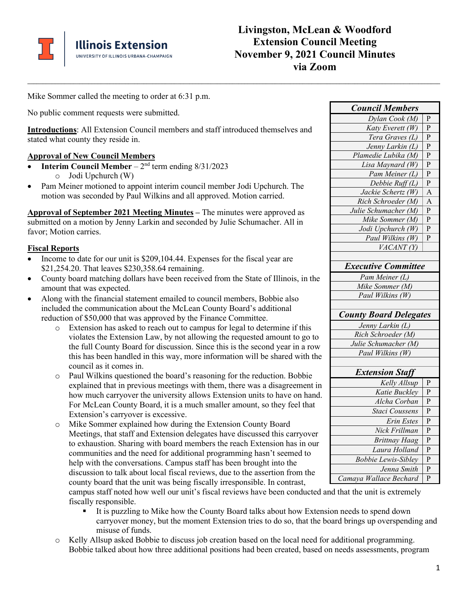

Mike Sommer called the meeting to order at 6:31 p.m.

No public comment requests were submitted.

**Introductions**: All Extension Council members and staff introduced themselves and stated what county they reside in.

#### **Approval of New Council Members**

- **Interim Council Member**  $2<sup>nd</sup>$  term ending  $8/31/2023$ o Jodi Upchurch (W)
- Pam Meiner motioned to appoint interim council member Jodi Upchurch. The motion was seconded by Paul Wilkins and all approved. Motion carried.

**Approval of September 2021 Meeting Minutes –** The minutes were approved as submitted on a motion by Jenny Larkin and seconded by Julie Schumacher. All in favor; Motion carries.

#### **Fiscal Reports**

- Income to date for our unit is \$209,104.44. Expenses for the fiscal year are \$21,254.20. That leaves \$230,358.64 remaining.
- County board matching dollars have been received from the State of Illinois, in the amount that was expected.
- Along with the financial statement emailed to council members, Bobbie also included the communication about the McLean County Board's additional reduction of \$50,000 that was approved by the Finance Committee.
	- o Extension has asked to reach out to campus for legal to determine if this violates the Extension Law, by not allowing the requested amount to go to the full County Board for discussion. Since this is the second year in a row this has been handled in this way, more information will be shared with the council as it comes in.
	- o Paul Wilkins questioned the board's reasoning for the reduction. Bobbie explained that in previous meetings with them, there was a disagreement in how much carryover the university allows Extension units to have on hand. For McLean County Board, it is a much smaller amount, so they feel that Extension's carryover is excessive.
	- o Mike Sommer explained how during the Extension County Board Meetings, that staff and Extension delegates have discussed this carryover to exhaustion. Sharing with board members the reach Extension has in our communities and the need for additional programming hasn't seemed to help with the conversations. Campus staff has been brought into the discussion to talk about local fiscal reviews, due to the assertion from the county board that the unit was being fiscally irresponsible. In contrast,

**\_\_\_\_\_\_\_\_\_\_\_\_\_\_\_\_\_\_\_\_\_\_\_\_\_\_\_\_\_\_\_\_\_\_\_\_\_\_\_\_\_\_\_\_\_\_\_\_\_\_\_\_\_\_\_\_\_\_\_\_\_\_\_\_\_\_\_\_\_\_\_\_\_\_\_\_\_\_\_\_\_\_\_\_\_\_\_\_\_\_\_\_\_\_\_\_\_\_\_\_\_\_\_\_\_\_\_\_\_\_\_\_\_\_\_\_\_\_\_\_\_\_\_\_\_\_\_\_\_\_\_\_\_\_\_** *Council Members*  $D$ *vlan Cook (M)* P *Katy Everett*  $(W)$  **P** *Tera Graves (L)* P *Jenny Larkin (L)* P *Plamedie Lubika (M)* P *Lisa Maynard (W)* P *Pam Meiner (L)* P *Debbie Ruff*  $(L)$  | P *Jackie Schertz*  $(W)$  | A *Rich Schroeder (M)*  $\mid$  A *Julie Schumacher (M)*  $\vert$  **P** *Mike Sommer (M)*  $\vert$  **P** *Jodi Upchurch*  $(W)$  P *Paul Wilkins (W)*  $\vert$  **P** *VACANT (Y) Executive Committee Pam Meiner (L) Mike Sommer (M) Paul Wilkins (W) County Board Delegates Jenny Larkin (L)*

| Rich Schroeder (M)   |
|----------------------|
| Julie Schumacher (M) |
| Paul Wilkins (W)     |
|                      |

| <b>Extension Staff</b>     |   |
|----------------------------|---|
| Kelly Allsup               | P |
| Katie Bucklev              | P |
| Alcha Corban               | P |
| Staci Coussens             | P |
| Erin Estes                 | P |
| Nick Frillman              | P |
| <b>Brittnay Haag</b>       | P |
| Laura Holland              | P |
| <b>Bobbie Lewis-Sibley</b> | P |
| Jenna Smith                | P |
| Camaya Wallace Bechard     | P |

campus staff noted how well our unit's fiscal reviews have been conducted and that the unit is extremely fiscally responsible.

- It is puzzling to Mike how the County Board talks about how Extension needs to spend down carryover money, but the moment Extension tries to do so, that the board brings up overspending and misuse of funds.
- o Kelly Allsup asked Bobbie to discuss job creation based on the local need for additional programming. Bobbie talked about how three additional positions had been created, based on needs assessments, program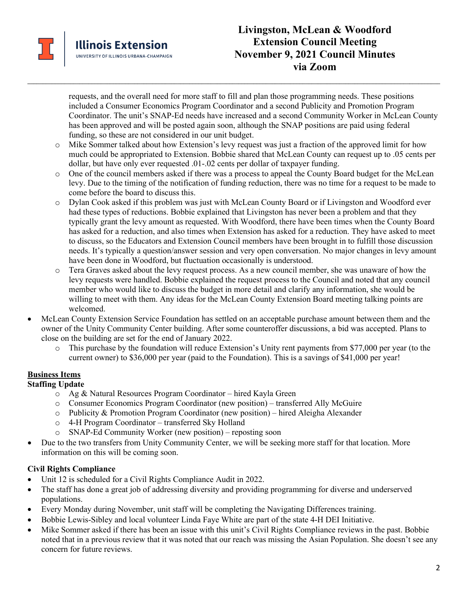

requests, and the overall need for more staff to fill and plan those programming needs. These positions included a Consumer Economics Program Coordinator and a second Publicity and Promotion Program Coordinator. The unit's SNAP-Ed needs have increased and a second Community Worker in McLean County has been approved and will be posted again soon, although the SNAP positions are paid using federal funding, so these are not considered in our unit budget.

o Mike Sommer talked about how Extension's levy request was just a fraction of the approved limit for how much could be appropriated to Extension. Bobbie shared that McLean County can request up to .05 cents per dollar, but have only ever requested .01-.02 cents per dollar of taxpayer funding.

**\_\_\_\_\_\_\_\_\_\_\_\_\_\_\_\_\_\_\_\_\_\_\_\_\_\_\_\_\_\_\_\_\_\_\_\_\_\_\_\_\_\_\_\_\_\_\_\_\_\_\_\_\_\_\_\_\_\_\_\_\_\_\_\_\_\_\_\_\_\_\_\_\_\_\_\_\_\_\_\_\_\_\_\_\_\_\_\_\_\_\_\_\_\_\_\_\_\_\_\_\_\_\_\_\_\_\_\_\_\_\_\_\_\_\_\_\_\_\_\_\_\_\_\_\_\_\_\_\_\_\_\_\_\_\_**

- o One of the council members asked if there was a process to appeal the County Board budget for the McLean levy. Due to the timing of the notification of funding reduction, there was no time for a request to be made to come before the board to discuss this.
- o Dylan Cook asked if this problem was just with McLean County Board or if Livingston and Woodford ever had these types of reductions. Bobbie explained that Livingston has never been a problem and that they typically grant the levy amount as requested. With Woodford, there have been times when the County Board has asked for a reduction, and also times when Extension has asked for a reduction. They have asked to meet to discuss, so the Educators and Extension Council members have been brought in to fulfill those discussion needs. It's typically a question/answer session and very open conversation. No major changes in levy amount have been done in Woodford, but fluctuation occasionally is understood.
- o Tera Graves asked about the levy request process. As a new council member, she was unaware of how the levy requests were handled. Bobbie explained the request process to the Council and noted that any council member who would like to discuss the budget in more detail and clarify any information, she would be willing to meet with them. Any ideas for the McLean County Extension Board meeting talking points are welcomed.
- McLean County Extension Service Foundation has settled on an acceptable purchase amount between them and the owner of the Unity Community Center building. After some counteroffer discussions, a bid was accepted. Plans to close on the building are set for the end of January 2022.
	- o This purchase by the foundation will reduce Extension's Unity rent payments from \$77,000 per year (to the current owner) to \$36,000 per year (paid to the Foundation). This is a savings of \$41,000 per year!

# **Business Items**

## **Staffing Update**

- o Ag & Natural Resources Program Coordinator hired Kayla Green
- o Consumer Economics Program Coordinator (new position) transferred Ally McGuire
- o Publicity & Promotion Program Coordinator (new position) hired Aleigha Alexander
- o 4-H Program Coordinator transferred Sky Holland
- o SNAP-Ed Community Worker (new position) reposting soon
- Due to the two transfers from Unity Community Center, we will be seeking more staff for that location. More information on this will be coming soon.

# **Civil Rights Compliance**

- Unit 12 is scheduled for a Civil Rights Compliance Audit in 2022.
- The staff has done a great job of addressing diversity and providing programming for diverse and underserved populations.
- Every Monday during November, unit staff will be completing the Navigating Differences training.
- Bobbie Lewis-Sibley and local volunteer Linda Faye White are part of the state 4-H DEI Initiative.
- Mike Sommer asked if there has been an issue with this unit's Civil Rights Compliance reviews in the past. Bobbie noted that in a previous review that it was noted that our reach was missing the Asian Population. She doesn't see any concern for future reviews.